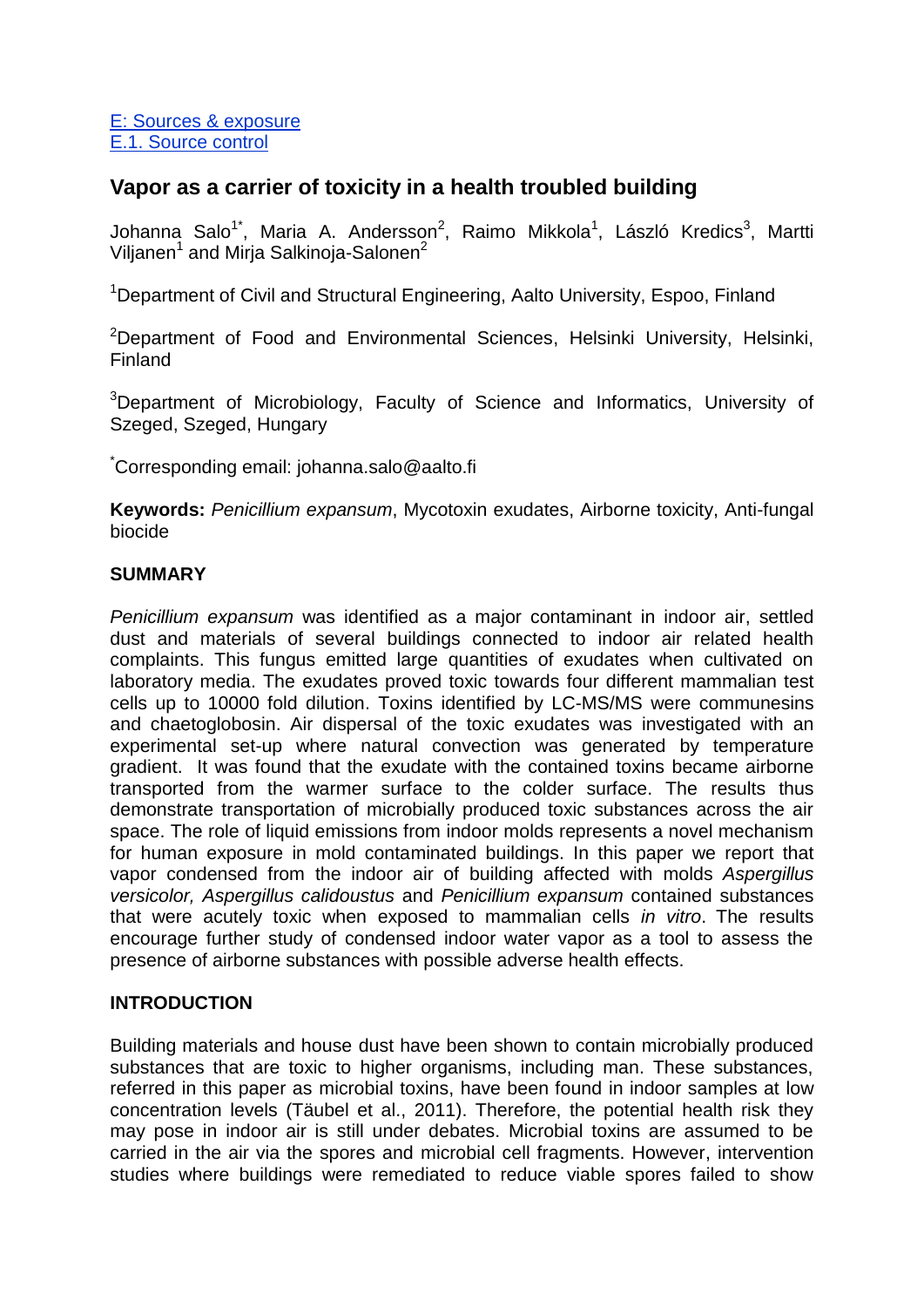E: Sources & exposure E.1. Source control

### **Vapor as a carrier of toxicity in a health troubled building**

Johanna Salo<sup>1\*</sup>, Maria A. Andersson<sup>2</sup>, Raimo Mikkola<sup>1</sup>, László Kredics<sup>3</sup>, Martti Viljanen<sup>1</sup> and Mirja Salkinoja-Salonen<sup>2</sup>

<sup>1</sup>Department of Civil and Structural Engineering, Aalto University, Espoo, Finland

<sup>2</sup>Department of Food and Environmental Sciences, Helsinki University, Helsinki, Finland

<sup>3</sup>Department of Microbiology, Faculty of Science and Informatics, University of Szeged, Szeged, Hungary

\*Corresponding email: johanna.salo@aalto.fi

**Keywords:** *Penicillium expansum*, Mycotoxin exudates, Airborne toxicity, Anti-fungal biocide

#### **SUMMARY**

*Penicillium expansum* was identified as a major contaminant in indoor air, settled dust and materials of several buildings connected to indoor air related health complaints. This fungus emitted large quantities of exudates when cultivated on laboratory media. The exudates proved toxic towards four different mammalian test cells up to 10000 fold dilution. Toxins identified by LC-MS/MS were communesins and chaetoglobosin. Air dispersal of the toxic exudates was investigated with an experimental set-up where natural convection was generated by temperature gradient. It was found that the exudate with the contained toxins became airborne transported from the warmer surface to the colder surface. The results thus demonstrate transportation of microbially produced toxic substances across the air space. The role of liquid emissions from indoor molds represents a novel mechanism for human exposure in mold contaminated buildings. In this paper we report that vapor condensed from the indoor air of building affected with molds *Aspergillus versicolor, Aspergillus calidoustus* and *Penicillium expansum* contained substances that were acutely toxic when exposed to mammalian cells *in vitro*. The results encourage further study of condensed indoor water vapor as a tool to assess the presence of airborne substances with possible adverse health effects.

#### **INTRODUCTION**

Building materials and house dust have been shown to contain microbially produced substances that are toxic to higher organisms, including man. These substances, referred in this paper as microbial toxins, have been found in indoor samples at low concentration levels (Täubel et al., 2011). Therefore, the potential health risk they may pose in indoor air is still under debates. Microbial toxins are assumed to be carried in the air via the spores and microbial cell fragments. However, intervention studies where buildings were remediated to reduce viable spores failed to show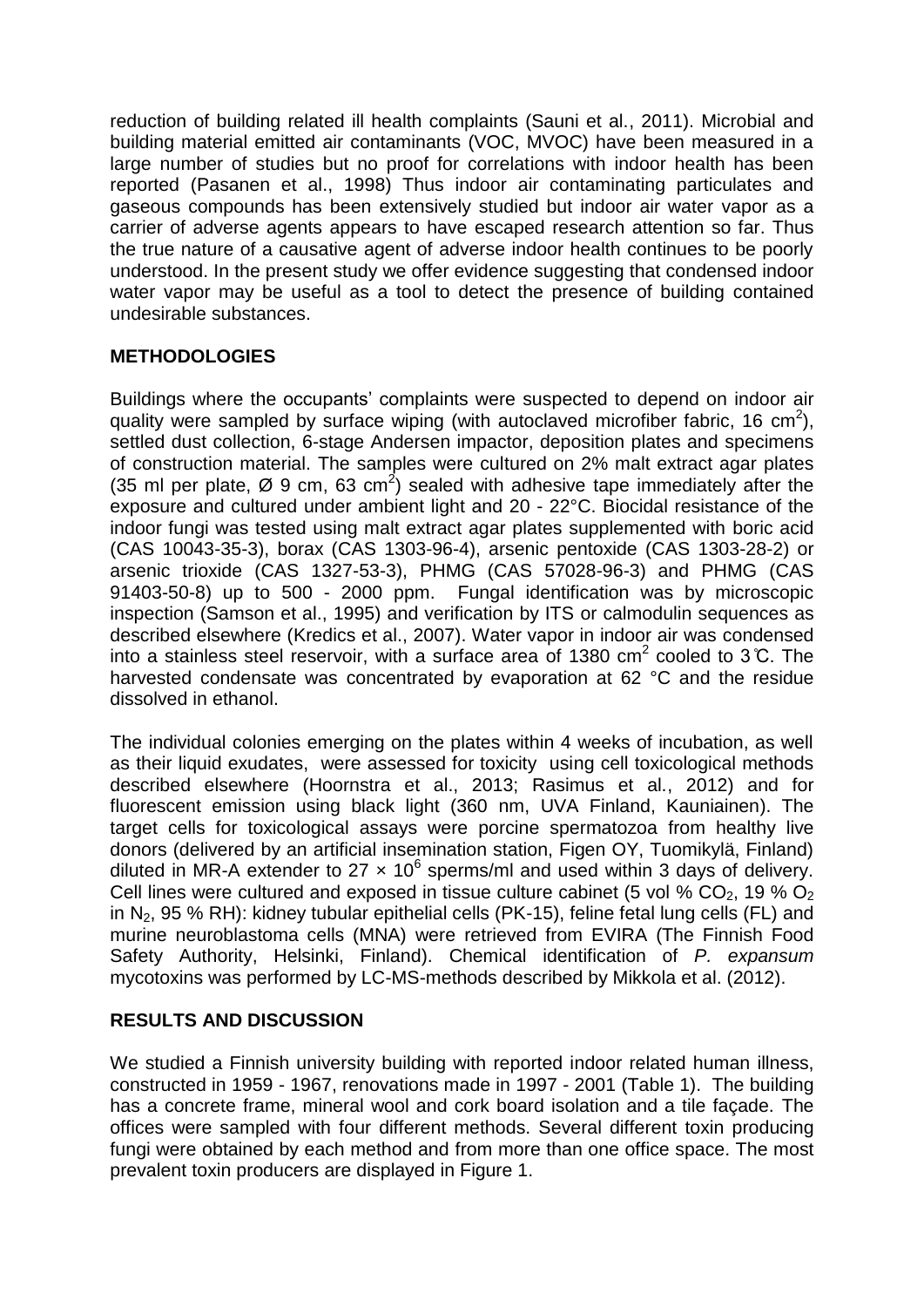reduction of building related ill health complaints (Sauni et al., 2011). Microbial and building material emitted air contaminants (VOC, MVOC) have been measured in a large number of studies but no proof for correlations with indoor health has been reported (Pasanen et al., 1998) Thus indoor air contaminating particulates and gaseous compounds has been extensively studied but indoor air water vapor as a carrier of adverse agents appears to have escaped research attention so far. Thus the true nature of a causative agent of adverse indoor health continues to be poorly understood. In the present study we offer evidence suggesting that condensed indoor water vapor may be useful as a tool to detect the presence of building contained undesirable substances.

### **METHODOLOGIES**

Buildings where the occupants' complaints were suspected to depend on indoor air quality were sampled by surface wiping (with autoclaved microfiber fabric, 16 cm<sup>2</sup>), settled dust collection, 6-stage Andersen impactor, deposition plates and specimens of construction material. The samples were cultured on 2% malt extract agar plates (35 ml per plate, Ø 9 cm, 63 cm<sup>2</sup>) sealed with adhesive tape immediately after the exposure and cultured under ambient light and 20 - 22°C. Biocidal resistance of the indoor fungi was tested using malt extract agar plates supplemented with boric acid (CAS 10043-35-3), borax (CAS 1303-96-4), arsenic pentoxide (CAS 1303-28-2) or arsenic trioxide (CAS 1327-53-3), PHMG (CAS 57028-96-3) and PHMG (CAS 91403-50-8) up to 500 - 2000 ppm. Fungal identification was by microscopic inspection (Samson et al., 1995) and verification by ITS or calmodulin sequences as described elsewhere (Kredics et al., 2007). Water vapor in indoor air was condensed into a stainless steel reservoir, with a surface area of 1380 cm<sup>2</sup> cooled to 3 °C. The harvested condensate was concentrated by evaporation at 62 °C and the residue dissolved in ethanol.

The individual colonies emerging on the plates within 4 weeks of incubation, as well as their liquid exudates, were assessed for toxicity using cell toxicological methods described elsewhere (Hoornstra et al., 2013; Rasimus et al., 2012) and for fluorescent emission using black light (360 nm, UVA Finland, Kauniainen). The target cells for toxicological assays were porcine spermatozoa from healthy live donors (delivered by an artificial insemination station, Figen OY, Tuomikylä, Finland) diluted in MR-A extender to 27  $\times$  10<sup>6</sup> sperms/ml and used within 3 days of delivery. Cell lines were cultured and exposed in tissue culture cabinet (5 vol %  $CO<sub>2</sub>$ , 19 %  $O<sub>2</sub>$ ) in N2, 95 % RH): kidney tubular epithelial cells (PK-15), feline fetal lung cells (FL) and murine neuroblastoma cells (MNA) were retrieved from EVIRA (The Finnish Food Safety Authority, Helsinki, Finland). Chemical identification of *P. expansum* mycotoxins was performed by LC-MS-methods described by Mikkola et al. (2012).

### **RESULTS AND DISCUSSION**

We studied a Finnish university building with reported indoor related human illness, constructed in 1959 - 1967, renovations made in 1997 - 2001 (Table 1). The building has a concrete frame, mineral wool and cork board isolation and a tile façade. The offices were sampled with four different methods. Several different toxin producing fungi were obtained by each method and from more than one office space. The most prevalent toxin producers are displayed in Figure 1.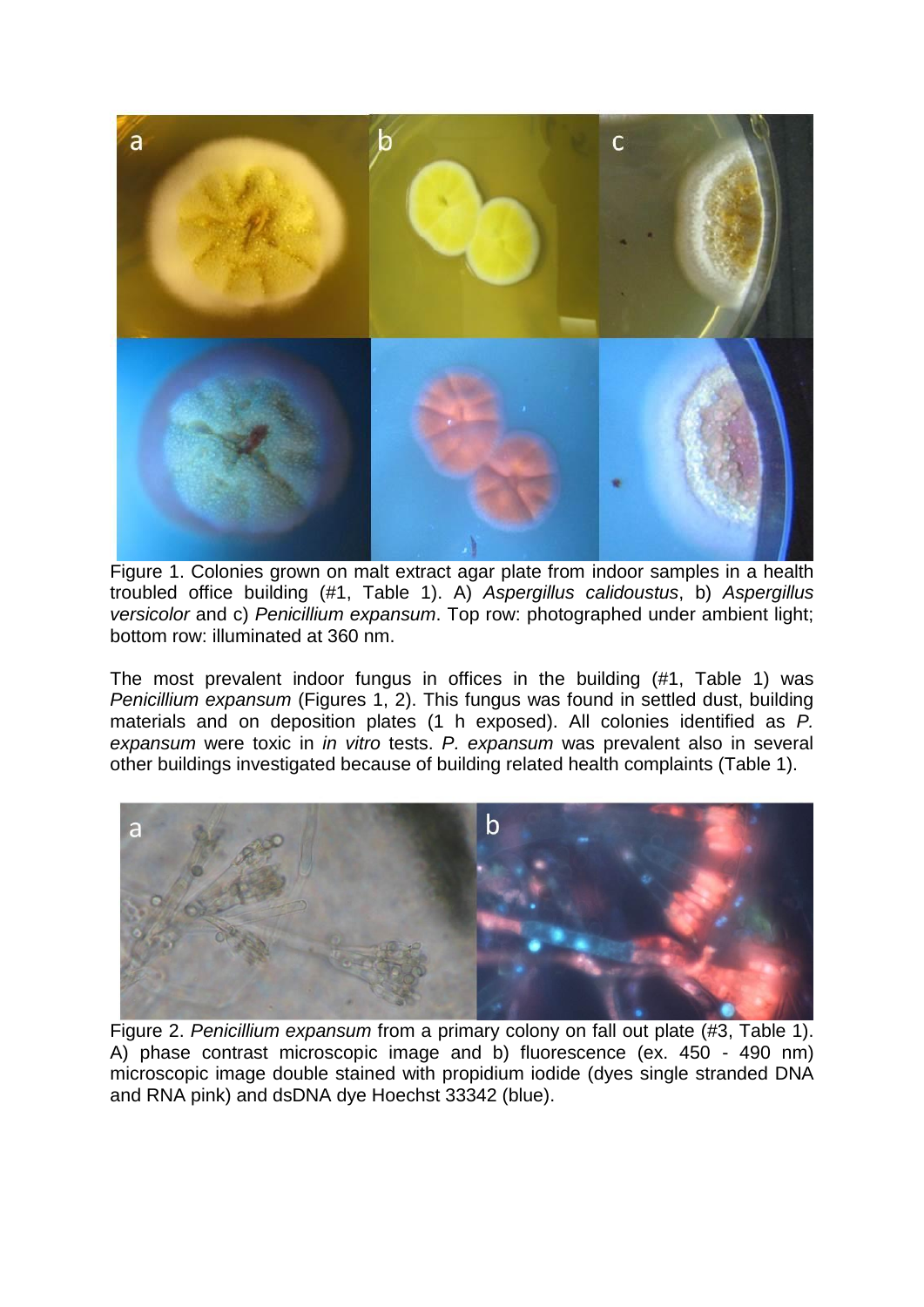

Figure 1. Colonies grown on malt extract agar plate from indoor samples in a health troubled office building (#1, Table 1). A) *Aspergillus calidoustus*, b) *Aspergillus versicolor* and c) *Penicillium expansum*. Top row: photographed under ambient light; bottom row: illuminated at 360 nm.

The most prevalent indoor fungus in offices in the building (#1, Table 1) was *Penicillium expansum* (Figures 1, 2). This fungus was found in settled dust, building materials and on deposition plates (1 h exposed). All colonies identified as *P. expansum* were toxic in *in vitro* tests. *P. expansum* was prevalent also in several other buildings investigated because of building related health complaints (Table 1).



Figure 2. *Penicillium expansum* from a primary colony on fall out plate (#3, Table 1). A) phase contrast microscopic image and b) fluorescence (ex. 450 - 490 nm) microscopic image double stained with propidium iodide (dyes single stranded DNA and RNA pink) and dsDNA dye Hoechst 33342 (blue).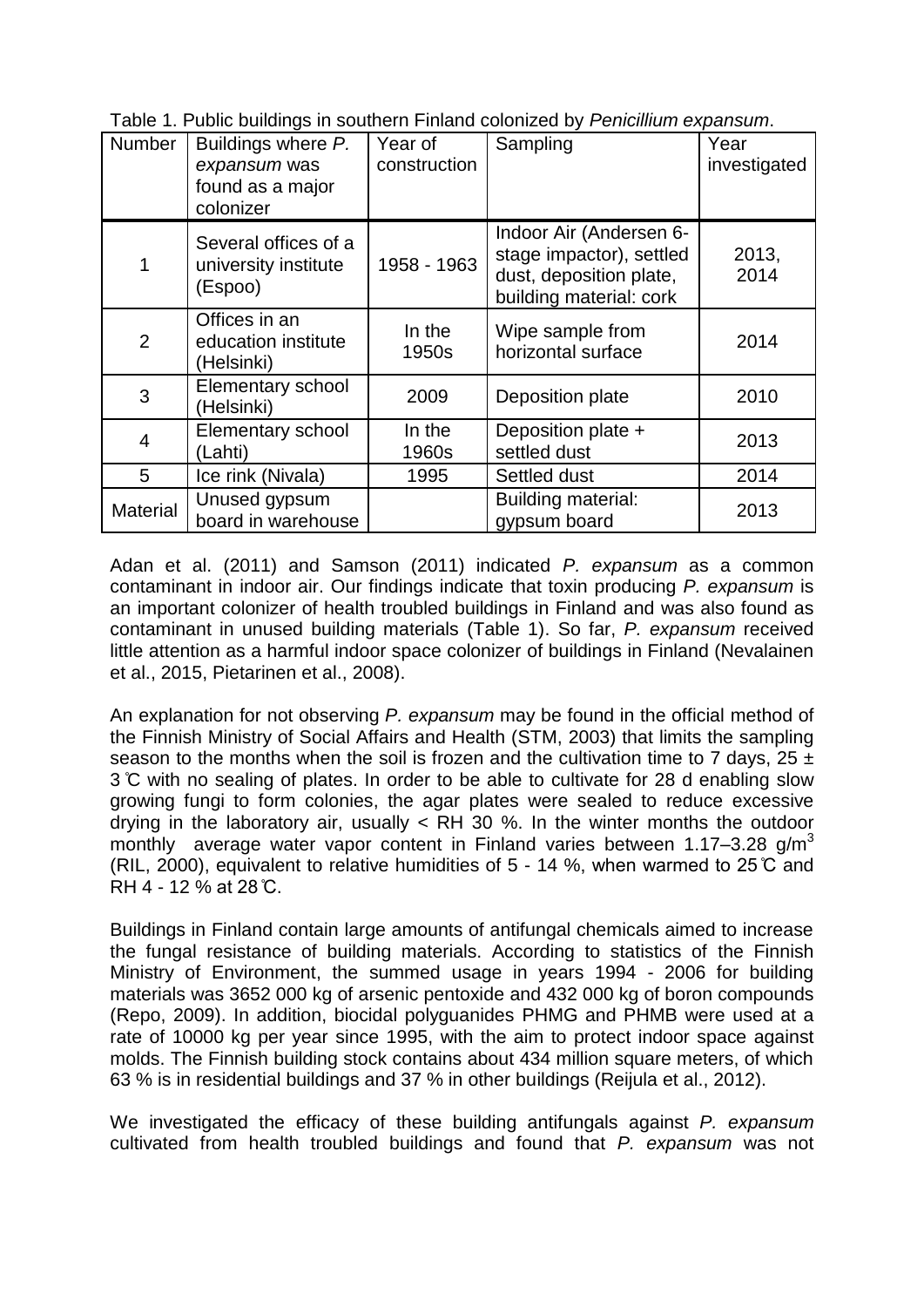|  |  | Table 1. Public buildings in southern Finland colonized by Penicillium expansum. |
|--|--|----------------------------------------------------------------------------------|
|  |  |                                                                                  |

| Number          | Buildings where P.<br>expansum was<br>found as a major<br>colonizer | Year of<br>construction | Sampling                                                                                                  | Year<br>investigated |
|-----------------|---------------------------------------------------------------------|-------------------------|-----------------------------------------------------------------------------------------------------------|----------------------|
| 1               | Several offices of a<br>university institute<br>(Espoo)             | 1958 - 1963             | Indoor Air (Andersen 6-<br>stage impactor), settled<br>dust, deposition plate,<br>building material: cork | 2013,<br>2014        |
| $\overline{2}$  | Offices in an<br>education institute<br>(Helsinki)                  | In the<br>1950s         | Wipe sample from<br>horizontal surface                                                                    | 2014                 |
| 3               | Elementary school<br>(Helsinki)                                     | 2009                    | Deposition plate                                                                                          | 2010                 |
| 4               | Elementary school<br>(Lahti)                                        | In the<br>1960s         | Deposition plate +<br>settled dust                                                                        | 2013                 |
| 5               | Ice rink (Nivala)                                                   | 1995                    | Settled dust                                                                                              | 2014                 |
| <b>Material</b> | Unused gypsum<br>board in warehouse                                 |                         | Building material:<br>gypsum board                                                                        | 2013                 |

Adan et al. (2011) and Samson (2011) indicated *P. expansum* as a common contaminant in indoor air. Our findings indicate that toxin producing *P. expansum* is an important colonizer of health troubled buildings in Finland and was also found as contaminant in unused building materials (Table 1). So far, *P. expansum* received little attention as a harmful indoor space colonizer of buildings in Finland (Nevalainen et al., 2015, Pietarinen et al., 2008).

An explanation for not observing *P. expansum* may be found in the official method of the Finnish Ministry of Social Affairs and Health (STM, 2003) that limits the sampling season to the months when the soil is frozen and the cultivation time to 7 days,  $25 \pm$ 3 ̊C with no sealing of plates. In order to be able to cultivate for 28 d enabling slow growing fungi to form colonies, the agar plates were sealed to reduce excessive drying in the laboratory air, usually < RH 30 %. In the winter months the outdoor monthly average water vapor content in Finland varies between 1.17–3.28  $q/m^3$ (RIL, 2000), equivalent to relative humidities of 5 - 14 %, when warmed to 25 ̊C and RH 4 - 12 % at 28 ̊C.

Buildings in Finland contain large amounts of antifungal chemicals aimed to increase the fungal resistance of building materials. According to statistics of the Finnish Ministry of Environment, the summed usage in years 1994 - 2006 for building materials was 3652 000 kg of arsenic pentoxide and 432 000 kg of boron compounds (Repo, 2009). In addition, biocidal polyguanides PHMG and PHMB were used at a rate of 10000 kg per year since 1995, with the aim to protect indoor space against molds. The Finnish building stock contains about 434 million square meters, of which 63 % is in residential buildings and 37 % in other buildings (Reijula et al., 2012).

We investigated the efficacy of these building antifungals against *P. expansum*  cultivated from health troubled buildings and found that *P. expansum* was not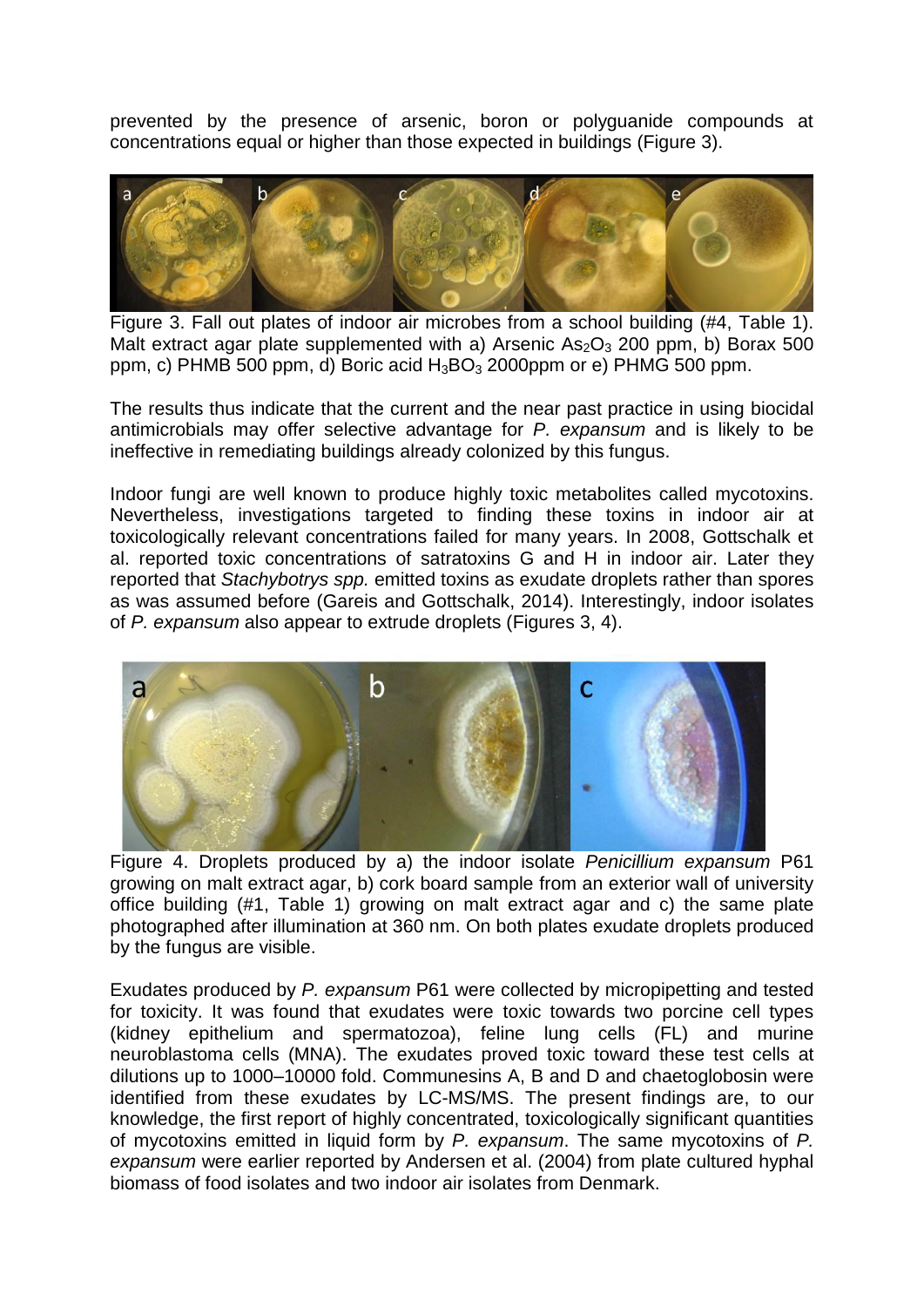prevented by the presence of arsenic, boron or polyguanide compounds at concentrations equal or higher than those expected in buildings (Figure 3).



Figure 3. Fall out plates of indoor air microbes from a school building (#4, Table 1). Malt extract agar plate supplemented with a) Arsenic  $As_2O_3$  200 ppm, b) Borax 500 ppm, c) PHMB 500 ppm, d) Boric acid  $H_3BO_3$  2000ppm or e) PHMG 500 ppm.

The results thus indicate that the current and the near past practice in using biocidal antimicrobials may offer selective advantage for *P. expansum* and is likely to be ineffective in remediating buildings already colonized by this fungus.

Indoor fungi are well known to produce highly toxic metabolites called mycotoxins. Nevertheless, investigations targeted to finding these toxins in indoor air at toxicologically relevant concentrations failed for many years. In 2008, Gottschalk et al. reported toxic concentrations of satratoxins G and H in indoor air. Later they reported that *Stachybotrys spp.* emitted toxins as exudate droplets rather than spores as was assumed before (Gareis and Gottschalk, 2014). Interestingly, indoor isolates of *P. expansum* also appear to extrude droplets (Figures 3, 4).



Figure 4. Droplets produced by a) the indoor isolate *Penicillium expansum* P61 growing on malt extract agar, b) cork board sample from an exterior wall of university office building (#1, Table 1) growing on malt extract agar and c) the same plate photographed after illumination at 360 nm. On both plates exudate droplets produced by the fungus are visible.

Exudates produced by *P. expansum* P61 were collected by micropipetting and tested for toxicity. It was found that exudates were toxic towards two porcine cell types (kidney epithelium and spermatozoa), feline lung cells (FL) and murine neuroblastoma cells (MNA). The exudates proved toxic toward these test cells at dilutions up to 1000–10000 fold. Communesins A, B and D and chaetoglobosin were identified from these exudates by LC-MS/MS. The present findings are, to our knowledge, the first report of highly concentrated, toxicologically significant quantities of mycotoxins emitted in liquid form by *P. expansum*. The same mycotoxins of *P. expansum* were earlier reported by Andersen et al. (2004) from plate cultured hyphal biomass of food isolates and two indoor air isolates from Denmark.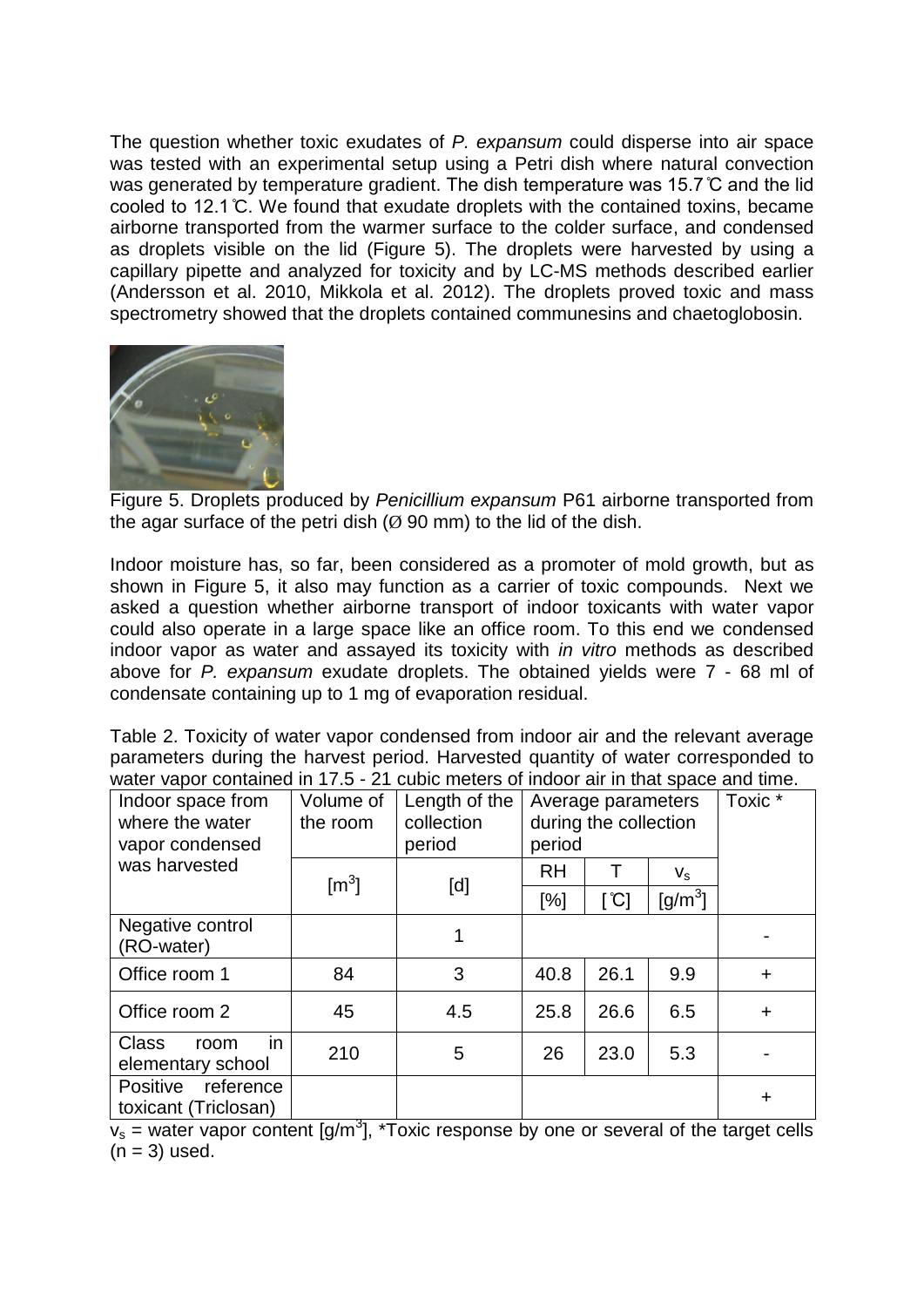The question whether toxic exudates of *P. expansum* could disperse into air space was tested with an experimental setup using a Petri dish where natural convection was generated by temperature gradient. The dish temperature was 15.7 ̊C and the lid cooled to 12.1 ̊C. We found that exudate droplets with the contained toxins, became airborne transported from the warmer surface to the colder surface, and condensed as droplets visible on the lid (Figure 5). The droplets were harvested by using a capillary pipette and analyzed for toxicity and by LC-MS methods described earlier (Andersson et al. 2010, Mikkola et al. 2012). The droplets proved toxic and mass spectrometry showed that the droplets contained communesins and chaetoglobosin.



Figure 5. Droplets produced by *Penicillium expansum* P61 airborne transported from the agar surface of the petri dish  $(0, 90 \text{ mm})$  to the lid of the dish.

Indoor moisture has, so far, been considered as a promoter of mold growth, but as shown in Figure 5, it also may function as a carrier of toxic compounds. Next we asked a question whether airborne transport of indoor toxicants with water vapor could also operate in a large space like an office room. To this end we condensed indoor vapor as water and assayed its toxicity with *in vitro* methods as described above for *P. expansum* exudate droplets. The obtained yields were 7 - 68 ml of condensate containing up to 1 mg of evaporation residual.

Table 2. Toxicity of water vapor condensed from indoor air and the relevant average parameters during the harvest period. Harvested quantity of water corresponded to water vapor contained in 17.5 - 21 cubic meters of indoor air in that space and time.

| Indoor space from<br>where the water<br>vapor condensed | Volume of<br>the room | Length of the<br>collection<br>period | Average parameters<br>during the collection<br>period |                            |             | Toxic $*$ |
|---------------------------------------------------------|-----------------------|---------------------------------------|-------------------------------------------------------|----------------------------|-------------|-----------|
| was harvested                                           | $\text{[m}^3]$        | [d]                                   | <b>RH</b>                                             |                            | $V_{\rm S}$ |           |
|                                                         |                       |                                       | [%]                                                   | $\lceil \mathrm{C} \rceil$ | [g/m $^3$ ] |           |
| Negative control<br>(RO-water)                          |                       |                                       |                                                       |                            |             |           |
| Office room 1                                           | 84                    | 3                                     | 40.8                                                  | 26.1                       | 9.9         | $\pm$     |
| Office room 2                                           | 45                    | 4.5                                   | 25.8                                                  | 26.6                       | 6.5         | $\ddot{}$ |
| in.<br><b>Class</b><br>room<br>elementary school        | 210                   | 5                                     | 26                                                    | 23.0                       | 5.3         |           |
| Positive<br>reference<br>toxicant (Triclosan)           |                       |                                       |                                                       |                            |             | ٠         |

 $v_s$  = water vapor content [g/m<sup>3</sup>], \*Toxic response by one or several of the target cells  $(n = 3)$  used.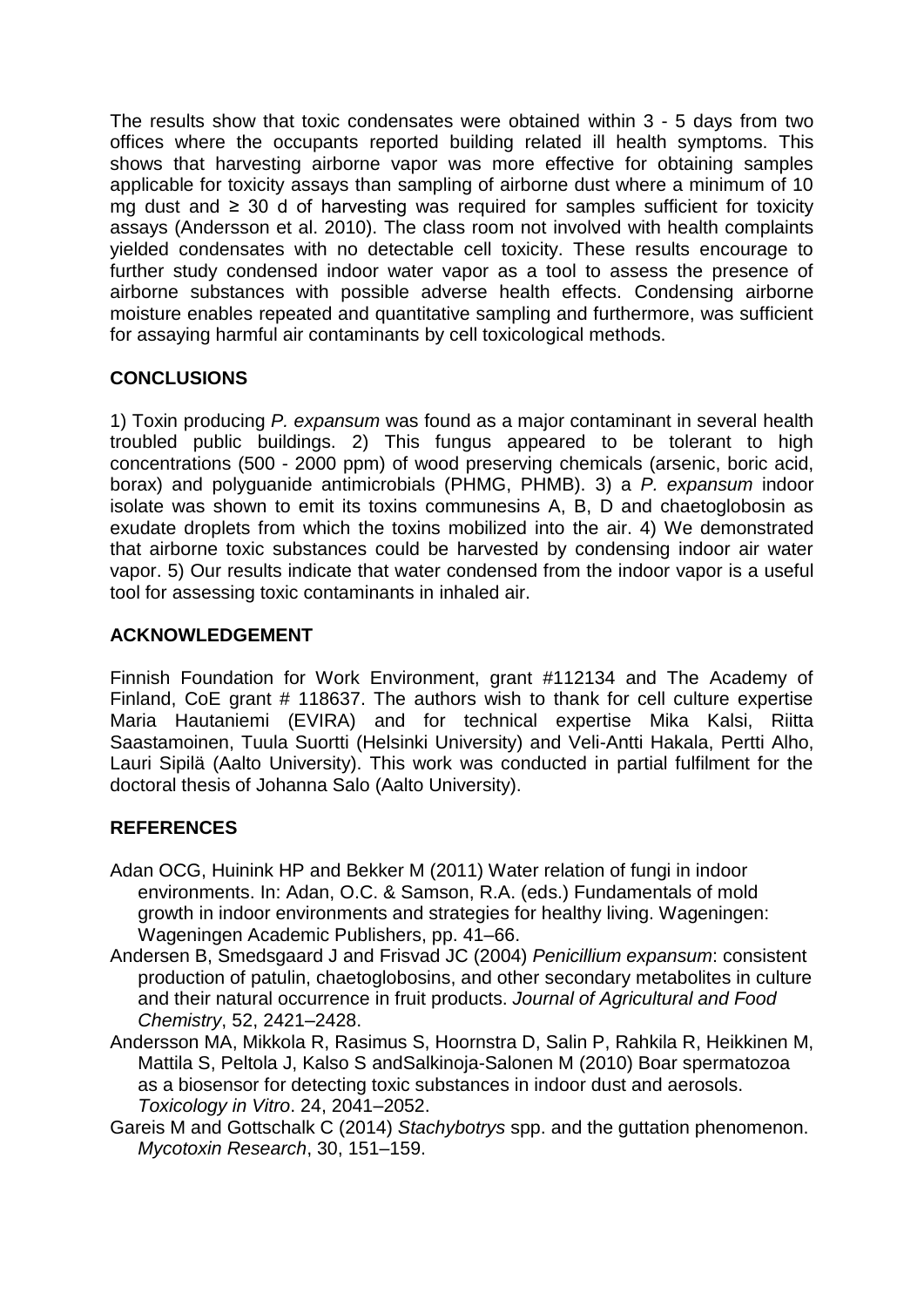The results show that toxic condensates were obtained within 3 - 5 days from two offices where the occupants reported building related ill health symptoms. This shows that harvesting airborne vapor was more effective for obtaining samples applicable for toxicity assays than sampling of airborne dust where a minimum of 10 mg dust and ≥ 30 d of harvesting was required for samples sufficient for toxicity assays (Andersson et al. 2010). The class room not involved with health complaints yielded condensates with no detectable cell toxicity. These results encourage to further study condensed indoor water vapor as a tool to assess the presence of airborne substances with possible adverse health effects. Condensing airborne moisture enables repeated and quantitative sampling and furthermore, was sufficient for assaying harmful air contaminants by cell toxicological methods.

# **CONCLUSIONS**

1) Toxin producing *P. expansum* was found as a major contaminant in several health troubled public buildings. 2) This fungus appeared to be tolerant to high concentrations (500 - 2000 ppm) of wood preserving chemicals (arsenic, boric acid, borax) and polyguanide antimicrobials (PHMG, PHMB). 3) a *P. expansum* indoor isolate was shown to emit its toxins communesins A, B, D and chaetoglobosin as exudate droplets from which the toxins mobilized into the air. 4) We demonstrated that airborne toxic substances could be harvested by condensing indoor air water vapor. 5) Our results indicate that water condensed from the indoor vapor is a useful tool for assessing toxic contaminants in inhaled air.

# **ACKNOWLEDGEMENT**

Finnish Foundation for Work Environment, grant #112134 and The Academy of Finland, CoE grant # 118637. The authors wish to thank for cell culture expertise Maria Hautaniemi (EVIRA) and for technical expertise Mika Kalsi, Riitta Saastamoinen, Tuula Suortti (Helsinki University) and Veli-Antti Hakala, Pertti Alho, Lauri Sipilä (Aalto University). This work was conducted in partial fulfilment for the doctoral thesis of Johanna Salo (Aalto University).

# **REFERENCES**

- Adan OCG, Huinink HP and Bekker M (2011) Water relation of fungi in indoor environments. In: Adan, O.C. & Samson, R.A. (eds.) Fundamentals of mold growth in indoor environments and strategies for healthy living. Wageningen: Wageningen Academic Publishers, pp. 41–66.
- Andersen B, Smedsgaard J and Frisvad JC (2004) *Penicillium expansum*: consistent production of patulin, chaetoglobosins, and other secondary metabolites in culture and their natural occurrence in fruit products. *Journal of Agricultural and Food Chemistry*, 52, 2421–2428.
- Andersson MA, Mikkola R, Rasimus S, Hoornstra D, Salin P, Rahkila R, Heikkinen M, Mattila S, Peltola J, Kalso S andSalkinoja-Salonen M (2010) Boar spermatozoa as a biosensor for detecting toxic substances in indoor dust and aerosols. *Toxicology in Vitro*. 24, 2041–2052.
- Gareis M and Gottschalk C (2014) *Stachybotrys* spp. and the guttation phenomenon. *Mycotoxin Research*, 30, 151–159.